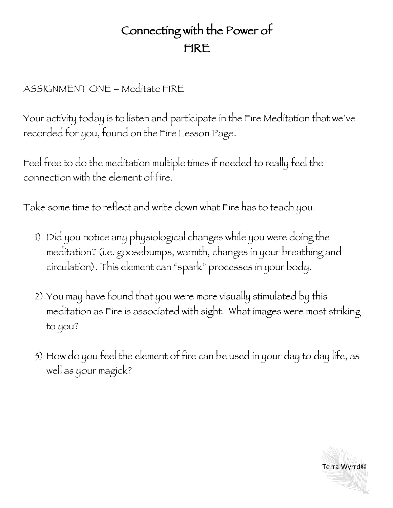## Connecting with the Power of FIRE

## ASSIGNMENT ONE – Meditate FIRE

Your activity today is to listen and participate in the Fire Meditation that we've recorded for you, found on the Fire Lesson Page.

Feel free to do the meditation multiple times if needed to really feel the connection with the element of fire.

Take some time to reflect and write down what Fire has to teach you.

- 1) Did you notice any physiological changes while you were doing the meditation? (i.e. goosebumps, warmth, changes in your breathing and circulation). This element can "spark" processes in your body.
- 2) You may have found that you were more visually stimulated by this meditation as Fire is associated with sight. What images were most striking to you?
- 3) How do you feel the element of fire can be used in your day to day life, as well as your magick?